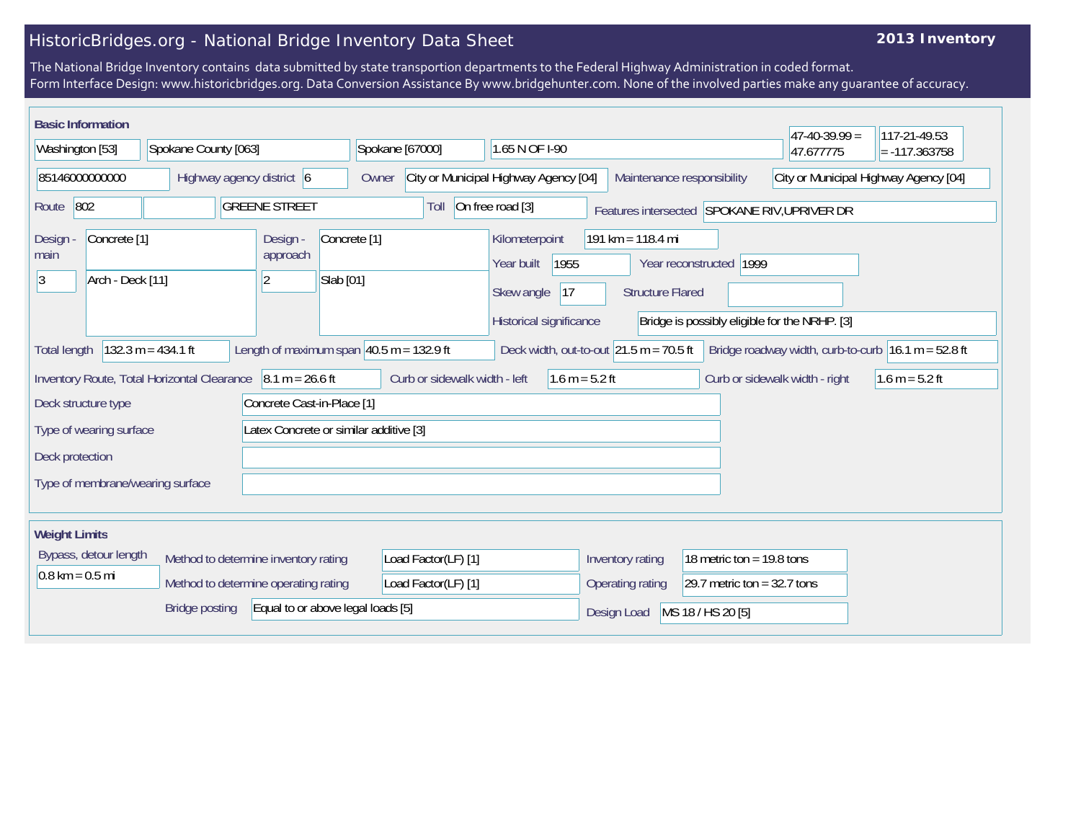# HistoricBridges.org - National Bridge Inventory Data Sheet

## **2013 Inventory**

The National Bridge Inventory contains data submitted by state transportion departments to the Federal Highway Administration in coded format. Form Interface Design: www.historicbridges.org. Data Conversion Assistance By www.bridgehunter.com. None of the involved parties make any guarantee of accuracy.

| <b>Basic Information</b>                                                                          |                                                                                                                                                                                                              |                                             |                                      |                                                                              |                                                                                                                                                                                                                      |                |                               |  |  |                                              |                  |                  |                               | $47-40-39.99 =$                |  | 117-21-49.53     |
|---------------------------------------------------------------------------------------------------|--------------------------------------------------------------------------------------------------------------------------------------------------------------------------------------------------------------|---------------------------------------------|--------------------------------------|------------------------------------------------------------------------------|----------------------------------------------------------------------------------------------------------------------------------------------------------------------------------------------------------------------|----------------|-------------------------------|--|--|----------------------------------------------|------------------|------------------|-------------------------------|--------------------------------|--|------------------|
| Washington [53]<br>Spokane County [063]                                                           |                                                                                                                                                                                                              |                                             | Spokane [67000]                      |                                                                              |                                                                                                                                                                                                                      | 1.65 N OF 1-90 |                               |  |  |                                              | 47.677775        |                  | $= -117.363758$               |                                |  |                  |
| 85146000000000<br>Highway agency district 6                                                       |                                                                                                                                                                                                              |                                             |                                      | City or Municipal Highway Agency [04]<br>Maintenance responsibility<br>Owner |                                                                                                                                                                                                                      |                |                               |  |  | City or Municipal Highway Agency [04]        |                  |                  |                               |                                |  |                  |
| On free road [3]<br>802<br><b>GREENE STREET</b><br>Route<br>Toll                                  |                                                                                                                                                                                                              |                                             |                                      |                                                                              |                                                                                                                                                                                                                      |                |                               |  |  | Features intersected SPOKANE RIV, UPRIVER DR |                  |                  |                               |                                |  |                  |
| Concrete <sup>[1]</sup><br>Design -<br>Design -<br>main<br>approach<br>Arch - Deck [11]<br>3<br>2 |                                                                                                                                                                                                              |                                             | Concrete <sup>[1]</sup><br>Slab [01] |                                                                              | 191 km = 118.4 mi<br>Kilometerpoint<br>1955<br>Year built<br> 1999<br>Year reconstructed<br>Skew angle<br> 17<br><b>Structure Flared</b><br>Historical significance<br>Bridge is possibly eligible for the NRHP. [3] |                |                               |  |  |                                              |                  |                  |                               |                                |  |                  |
| <b>Total length</b>                                                                               | $132.3 m = 434.1 ft$<br>Length of maximum span $ 40.5 \text{ m} = 132.9 \text{ ft} $<br>Deck width, out-to-out $ 21.5 \text{ m} = 70.5 \text{ ft} $<br>Bridge roadway width, curb-to-curb $16.1 m = 52.8 ft$ |                                             |                                      |                                                                              |                                                                                                                                                                                                                      |                |                               |  |  |                                              |                  |                  |                               |                                |  |                  |
|                                                                                                   |                                                                                                                                                                                                              | Inventory Route, Total Horizontal Clearance |                                      | $8.1 m = 26.6 ft$                                                            |                                                                                                                                                                                                                      |                | Curb or sidewalk width - left |  |  | $1.6 m = 5.2 ft$                             |                  |                  |                               | Curb or sidewalk width - right |  | 1.6 m = $5.2$ ft |
| Deck structure type                                                                               |                                                                                                                                                                                                              |                                             |                                      | Concrete Cast-in-Place [1]                                                   |                                                                                                                                                                                                                      |                |                               |  |  |                                              |                  |                  |                               |                                |  |                  |
| Type of wearing surface                                                                           |                                                                                                                                                                                                              |                                             |                                      | Latex Concrete or similar additive [3]                                       |                                                                                                                                                                                                                      |                |                               |  |  |                                              |                  |                  |                               |                                |  |                  |
| Deck protection                                                                                   |                                                                                                                                                                                                              |                                             |                                      |                                                                              |                                                                                                                                                                                                                      |                |                               |  |  |                                              |                  |                  |                               |                                |  |                  |
|                                                                                                   |                                                                                                                                                                                                              | Type of membrane/wearing surface            |                                      |                                                                              |                                                                                                                                                                                                                      |                |                               |  |  |                                              |                  |                  |                               |                                |  |                  |
| <b>Weight Limits</b>                                                                              |                                                                                                                                                                                                              |                                             |                                      |                                                                              |                                                                                                                                                                                                                      |                |                               |  |  |                                              |                  |                  |                               |                                |  |                  |
| Bypass, detour length                                                                             |                                                                                                                                                                                                              |                                             |                                      | Method to determine inventory rating                                         |                                                                                                                                                                                                                      |                | Load Factor(LF) [1]           |  |  |                                              | Inventory rating |                  | 18 metric ton = $19.8$ tons   |                                |  |                  |
| $0.8 \text{ km} = 0.5 \text{ mi}$                                                                 |                                                                                                                                                                                                              |                                             |                                      | Method to determine operating rating                                         |                                                                                                                                                                                                                      |                | Load Factor(LF) [1]           |  |  |                                              |                  | Operating rating | 29.7 metric ton = $32.7$ tons |                                |  |                  |
| Equal to or above legal loads [5]<br><b>Bridge posting</b>                                        |                                                                                                                                                                                                              |                                             |                                      |                                                                              | Design Load                                                                                                                                                                                                          |                | MS 18 / HS 20 [5]             |  |  |                                              |                  |                  |                               |                                |  |                  |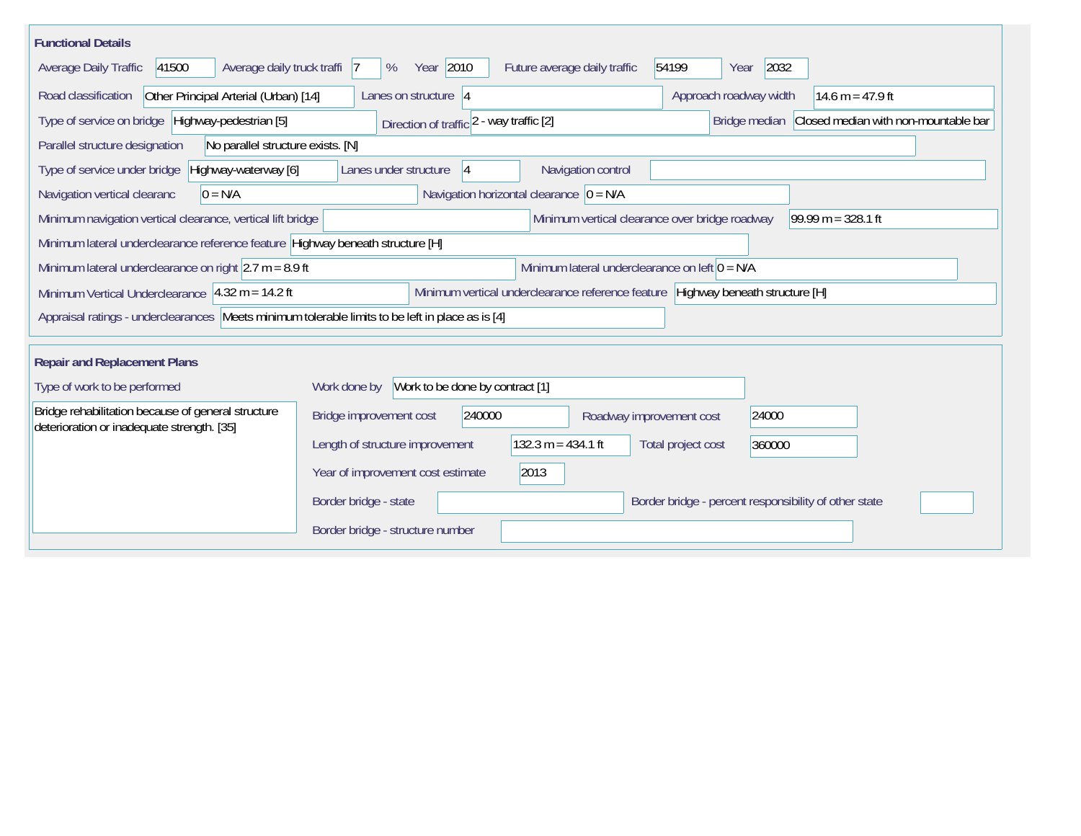| <b>Functional Details</b>                                                                                                      |                                                                                                                                       |                                      |                                                       |                    |  |  |  |  |  |
|--------------------------------------------------------------------------------------------------------------------------------|---------------------------------------------------------------------------------------------------------------------------------------|--------------------------------------|-------------------------------------------------------|--------------------|--|--|--|--|--|
| 41500<br>Average daily truck traffi 7<br>Average Daily Traffic                                                                 | Year 2010<br>%                                                                                                                        | Future average daily traffic         | 2032<br>54199<br>Year                                 |                    |  |  |  |  |  |
| Road classification<br>Other Principal Arterial (Urban) [14]                                                                   | Lanes on structure $ 4 $                                                                                                              |                                      | Approach roadway width                                | 14.6 m = $47.9$ ft |  |  |  |  |  |
| Type of service on bridge   Highway-pedestrian [5]                                                                             | Bridge median                                                                                                                         | Closed median with non-mountable bar |                                                       |                    |  |  |  |  |  |
| Parallel structure designation<br>No parallel structure exists. [N]                                                            |                                                                                                                                       |                                      |                                                       |                    |  |  |  |  |  |
| Type of service under bridge<br>Highway-waterway [6]                                                                           | Lanes under structure<br> 4                                                                                                           | Navigation control                   |                                                       |                    |  |  |  |  |  |
| Navigation vertical clearanc<br>$0 = N/A$                                                                                      | Navigation horizontal clearance $ 0 = N/A$                                                                                            |                                      |                                                       |                    |  |  |  |  |  |
|                                                                                                                                | Minimum vertical clearance over bridge roadway<br>99.99 m = $328.1$ ft<br>Minimum navigation vertical clearance, vertical lift bridge |                                      |                                                       |                    |  |  |  |  |  |
| Minimum lateral underclearance reference feature Highway beneath structure [H]                                                 |                                                                                                                                       |                                      |                                                       |                    |  |  |  |  |  |
| Minimum lateral underclearance on left $0 = N/A$<br>Minimum lateral underclearance on right $ 2.7 \text{ m} = 8.9 \text{ ft} $ |                                                                                                                                       |                                      |                                                       |                    |  |  |  |  |  |
| Minimum Vertical Underclearance $ 4.32 \text{ m} = 14.2 \text{ ft} $                                                           | Minimum vertical underclearance reference feature Highway beneath structure [H]                                                       |                                      |                                                       |                    |  |  |  |  |  |
| Appraisal ratings - underclearances   Meets minimum tolerable limits to be left in place as is [4]                             |                                                                                                                                       |                                      |                                                       |                    |  |  |  |  |  |
|                                                                                                                                |                                                                                                                                       |                                      |                                                       |                    |  |  |  |  |  |
| <b>Repair and Replacement Plans</b>                                                                                            |                                                                                                                                       |                                      |                                                       |                    |  |  |  |  |  |
| Type of work to be performed                                                                                                   | Work to be done by contract [1]<br>Work done by                                                                                       |                                      |                                                       |                    |  |  |  |  |  |
| Bridge rehabilitation because of general structure<br>deterioration or inadequate strength. [35]                               | 240000<br>Bridge improvement cost                                                                                                     | Roadway improvement cost             | 24000                                                 |                    |  |  |  |  |  |
|                                                                                                                                | Length of structure improvement                                                                                                       | 132.3 $m = 434.1$ ft                 | Total project cost<br>360000                          |                    |  |  |  |  |  |
|                                                                                                                                | Year of improvement cost estimate<br>2013                                                                                             |                                      |                                                       |                    |  |  |  |  |  |
|                                                                                                                                | Border bridge - state                                                                                                                 |                                      | Border bridge - percent responsibility of other state |                    |  |  |  |  |  |
|                                                                                                                                | Border bridge - structure number                                                                                                      |                                      |                                                       |                    |  |  |  |  |  |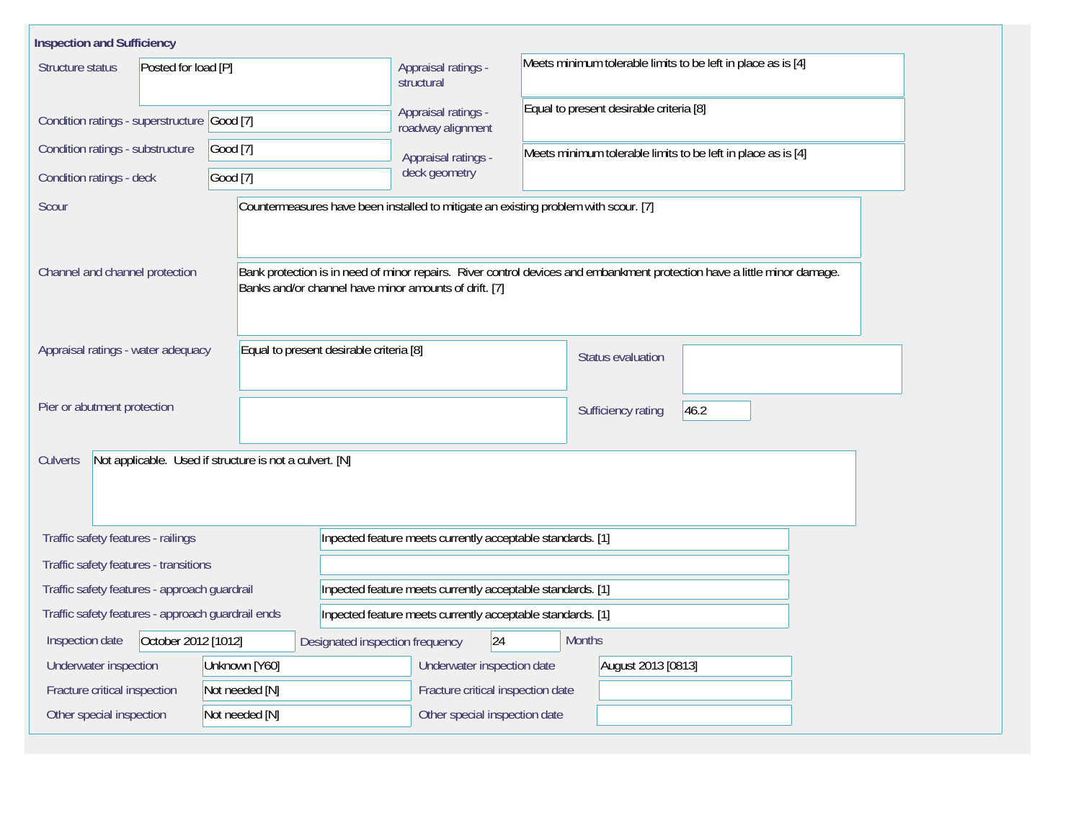| <b>Inspection and Sufficiency</b>                 |                                                         |                                                            |                                                                                                                          |  |  |  |  |  |  |  |
|---------------------------------------------------|---------------------------------------------------------|------------------------------------------------------------|--------------------------------------------------------------------------------------------------------------------------|--|--|--|--|--|--|--|
| Structure status<br>Posted for load [P]           |                                                         | Appraisal ratings -<br>structural                          | Meets minimum tolerable limits to be left in place as is [4]                                                             |  |  |  |  |  |  |  |
| Condition ratings - superstructure Good [7]       |                                                         | Appraisal ratings -                                        | Equal to present desirable criteria [8]<br>roadway alignment                                                             |  |  |  |  |  |  |  |
| Condition ratings - substructure                  | Good [7]                                                | Appraisal ratings -                                        | Meets minimum tolerable limits to be left in place as is [4]                                                             |  |  |  |  |  |  |  |
| Condition ratings - deck                          | Good [7]                                                | deck geometry                                              |                                                                                                                          |  |  |  |  |  |  |  |
| Scour                                             |                                                         |                                                            | Countermeasures have been installed to mitigate an existing problem with scour. [7]                                      |  |  |  |  |  |  |  |
| Channel and channel protection                    | Banks and/or channel have minor amounts of drift. [7]   |                                                            | Bank protection is in need of minor repairs. River control devices and embankment protection have a little minor damage. |  |  |  |  |  |  |  |
| Appraisal ratings - water adequacy                | Equal to present desirable criteria [8]                 |                                                            | Status evaluation                                                                                                        |  |  |  |  |  |  |  |
| Pier or abutment protection                       |                                                         |                                                            | 46.2<br>Sufficiency rating                                                                                               |  |  |  |  |  |  |  |
| Culverts                                          | Not applicable. Used if structure is not a culvert. [N] |                                                            |                                                                                                                          |  |  |  |  |  |  |  |
| Traffic safety features - railings                |                                                         | Inpected feature meets currently acceptable standards. [1] |                                                                                                                          |  |  |  |  |  |  |  |
| Traffic safety features - transitions             |                                                         |                                                            |                                                                                                                          |  |  |  |  |  |  |  |
| Traffic safety features - approach guardrail      |                                                         | Inpected feature meets currently acceptable standards. [1] |                                                                                                                          |  |  |  |  |  |  |  |
| Traffic safety features - approach guardrail ends |                                                         | Inpected feature meets currently acceptable standards. [1] |                                                                                                                          |  |  |  |  |  |  |  |
| October 2012 [1012]<br>Inspection date            | Designated inspection frequency                         | 24                                                         | <b>Months</b>                                                                                                            |  |  |  |  |  |  |  |
| Underwater inspection                             | Unknown [Y60]                                           | Underwater inspection date                                 | August 2013 [0813]                                                                                                       |  |  |  |  |  |  |  |
| Fracture critical inspection                      | Not needed [N]                                          | Fracture critical inspection date                          |                                                                                                                          |  |  |  |  |  |  |  |
| Other special inspection                          | Not needed [N]                                          | Other special inspection date                              |                                                                                                                          |  |  |  |  |  |  |  |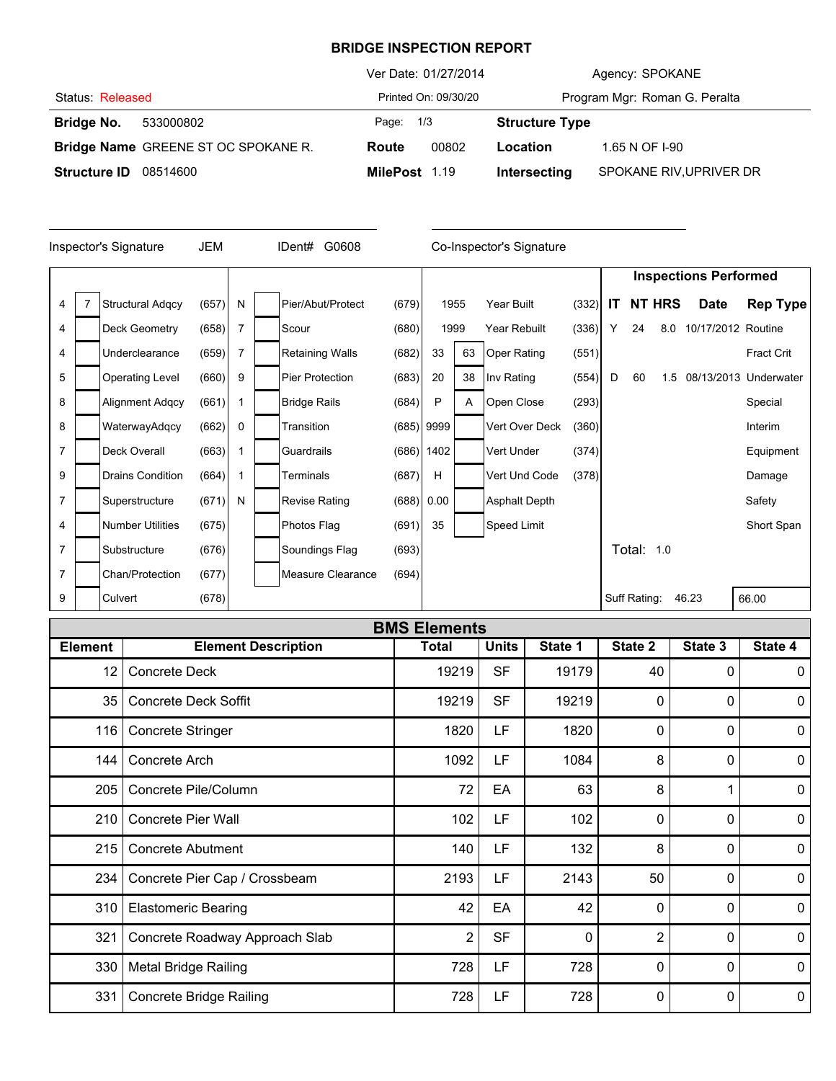## **BRIDGE INSPECTION REPORT**

|                     |                                     |               | Ver Date: 01/27/2014 | Agency: SPOKANE       |                               |  |  |
|---------------------|-------------------------------------|---------------|----------------------|-----------------------|-------------------------------|--|--|
| Status: Released    |                                     |               | Printed On: 09/30/20 |                       | Program Mgr: Roman G. Peralta |  |  |
| Bridge No.          | 533000802                           | Page: 1/3     |                      | <b>Structure Type</b> |                               |  |  |
|                     | Bridge Name GREENE ST OC SPOKANE R. | Route         | 00802                | Location              | 1.65 N OF I-90                |  |  |
| <b>Structure ID</b> | 08514600                            | MilePost 1.19 |                      | Intersecting          | SPOKANE RIV, UPRIVER DR       |  |  |

|                | Inspector's Signature   | <b>JEM</b> |   | G0608<br>IDent#        |       |              |      | Co-Inspector's Signature |       |                              |                   |               |                    |                       |
|----------------|-------------------------|------------|---|------------------------|-------|--------------|------|--------------------------|-------|------------------------------|-------------------|---------------|--------------------|-----------------------|
|                |                         |            |   |                        |       |              |      |                          |       | <b>Inspections Performed</b> |                   |               |                    |                       |
| 4              | <b>Structural Adgcy</b> | (657)      | N | Pier/Abut/Protect      | (679) |              | 1955 | Year Built               | (332) | IT                           |                   | <b>NT HRS</b> | <b>Date</b>        | <b>Rep Type</b>       |
| 4              | Deck Geometry           | (658)      | 7 | Scour                  | (680) |              | 1999 | Year Rebuilt             | (336) | Υ                            | 24                | 8.0           | 10/17/2012 Routine |                       |
| 4              | Underclearance          | (659)      | 7 | <b>Retaining Walls</b> | (682) | 33           | 63   | <b>Oper Rating</b>       | (551) |                              |                   |               |                    | <b>Fract Crit</b>     |
| 5              | <b>Operating Level</b>  | (660)      | 9 | <b>Pier Protection</b> | (683) | 20           | 38   | Inv Rating               | (554) | D                            | 60                | 1.5           |                    | 08/13/2013 Underwater |
| 8              | <b>Alignment Adgcy</b>  | (661)      |   | <b>Bridge Rails</b>    | (684) | P            | A    | Open Close               | (293) |                              |                   |               |                    | Special               |
| 8              | WaterwayAdqcy           | (662)      | 0 | Transition             |       | $(685)$ 9999 |      | Vert Over Deck           | (360) |                              |                   |               |                    | Interim               |
| $\overline{7}$ | Deck Overall            | (663)      |   | Guardrails             | (686) | 1402         |      | Vert Under               | (374) |                              |                   |               |                    | Equipment             |
| 9              | <b>Drains Condition</b> | (664)      |   | Terminals              | (687) | Н            |      | Vert Und Code            | (378) |                              |                   |               |                    | Damage                |
| $\overline{7}$ | Superstructure          | (671)      | N | <b>Revise Rating</b>   | (688) | 0.00         |      | <b>Asphalt Depth</b>     |       |                              |                   |               |                    | Safety                |
| 4              | <b>Number Utilities</b> | (675)      |   | Photos Flag            | (691) | 35           |      | Speed Limit              |       |                              |                   |               |                    | Short Span            |
| $\overline{7}$ | Substructure            | (676)      |   | Soundings Flag         | (693) |              |      |                          |       |                              | <b>Total: 1.0</b> |               |                    |                       |
| 7              | Chan/Protection         | (677)      |   | Measure Clearance      | (694) |              |      |                          |       |                              |                   |               |                    |                       |
| 9              | Culvert                 | (678)      |   |                        |       |              |      |                          |       |                              | Suff Rating:      |               | 46.23              | 66.00                 |

|                | <b>BMS Elements</b>            |                |              |         |                |          |              |  |  |  |  |
|----------------|--------------------------------|----------------|--------------|---------|----------------|----------|--------------|--|--|--|--|
| <b>Element</b> | <b>Element Description</b>     | <b>Total</b>   | <b>Units</b> | State 1 | State 2        | State 3  | State 4      |  |  |  |  |
| 12             | <b>Concrete Deck</b>           | 19219          | <b>SF</b>    | 19179   | 40             | 0        | $\mathbf{0}$ |  |  |  |  |
| 35             | <b>Concrete Deck Soffit</b>    | 19219          | <b>SF</b>    | 19219   | 0              | O        | $\mathbf{0}$ |  |  |  |  |
| 116            | <b>Concrete Stringer</b>       | 1820           | LF           | 1820    | 0              | $\Omega$ | $\mathbf 0$  |  |  |  |  |
| 144            | Concrete Arch                  | 1092           | LF           | 1084    | 8              | 0        | $\mathbf{0}$ |  |  |  |  |
| 205            | Concrete Pile/Column           | 72             | EA           | 63      | 8              |          | $\mathbf 0$  |  |  |  |  |
| 210            | <b>Concrete Pier Wall</b>      | 102            | LF           | 102     | 0              | 0        | $\mathbf 0$  |  |  |  |  |
| 215            | <b>Concrete Abutment</b>       | 140            | <b>LF</b>    | 132     | 8              | 0        | 0            |  |  |  |  |
| 234            | Concrete Pier Cap / Crossbeam  | 2193           | LF           | 2143    | 50             | 0        | $\mathbf 0$  |  |  |  |  |
| 310            | <b>Elastomeric Bearing</b>     | 42             | EA           | 42      | 0              | 0        | $\mathbf 0$  |  |  |  |  |
| 321            | Concrete Roadway Approach Slab | $\overline{2}$ | <b>SF</b>    | 0       | $\overline{2}$ | $\Omega$ | $\mathbf 0$  |  |  |  |  |
| 330            | <b>Metal Bridge Railing</b>    | 728            | LF           | 728     | 0              | 0        | $\mathbf 0$  |  |  |  |  |
| 331            | <b>Concrete Bridge Railing</b> | 728            | LF           | 728     | 0              | 0        | 0            |  |  |  |  |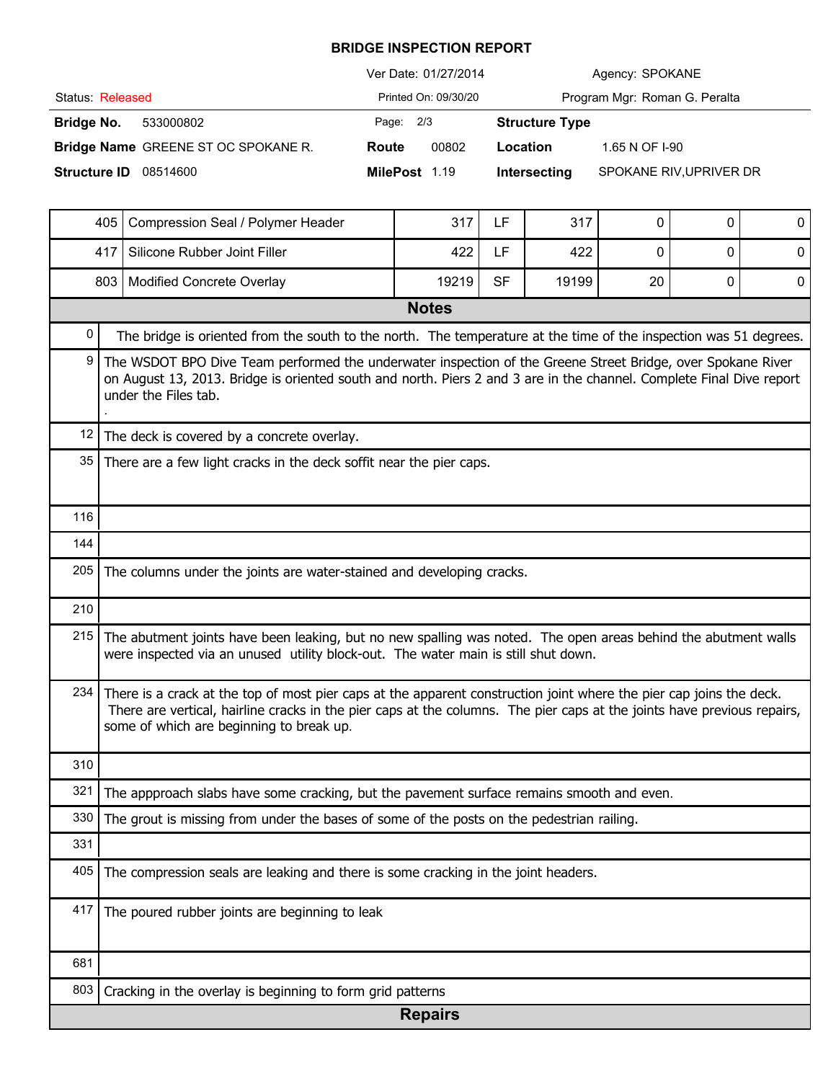## **BRIDGE INSPECTION REPORT**

|                                     | Ver Date: 01/27/2014 | Agency: SPOKANE                         |  |  |  |
|-------------------------------------|----------------------|-----------------------------------------|--|--|--|
| Status: Released                    | Printed On: 09/30/20 | Program Mgr: Roman G. Peralta           |  |  |  |
| Bridge No.<br>533000802             | Page: 2/3            | <b>Structure Type</b>                   |  |  |  |
| Bridge Name GREENE ST OC SPOKANE R. | 00802<br>Route       | 1.65 N OF 1-90<br>Location              |  |  |  |
| <b>Structure ID</b><br>08514600     | MilePost 1.19        | SPOKANE RIV, UPRIVER DR<br>Intersecting |  |  |  |

|                   | 405                                                                                                                                                                                                                                                                                        | Compression Seal / Polymer Header                                                             | 317            | LF        | 317   | 0  | 0 | 0 |  |  |  |
|-------------------|--------------------------------------------------------------------------------------------------------------------------------------------------------------------------------------------------------------------------------------------------------------------------------------------|-----------------------------------------------------------------------------------------------|----------------|-----------|-------|----|---|---|--|--|--|
|                   | 417                                                                                                                                                                                                                                                                                        | Silicone Rubber Joint Filler                                                                  | 422            | LF        | 422   | 0  | 0 | 0 |  |  |  |
|                   |                                                                                                                                                                                                                                                                                            | 803   Modified Concrete Overlay                                                               | 19219          | <b>SF</b> | 19199 | 20 | 0 | 0 |  |  |  |
|                   | <b>Notes</b>                                                                                                                                                                                                                                                                               |                                                                                               |                |           |       |    |   |   |  |  |  |
| 0                 | The bridge is oriented from the south to the north. The temperature at the time of the inspection was 51 degrees.                                                                                                                                                                          |                                                                                               |                |           |       |    |   |   |  |  |  |
| 9                 | The WSDOT BPO Dive Team performed the underwater inspection of the Greene Street Bridge, over Spokane River<br>on August 13, 2013. Bridge is oriented south and north. Piers 2 and 3 are in the channel. Complete Final Dive report<br>under the Files tab.                                |                                                                                               |                |           |       |    |   |   |  |  |  |
| $12 \overline{ }$ | The deck is covered by a concrete overlay.                                                                                                                                                                                                                                                 |                                                                                               |                |           |       |    |   |   |  |  |  |
| 35                | There are a few light cracks in the deck soffit near the pier caps.                                                                                                                                                                                                                        |                                                                                               |                |           |       |    |   |   |  |  |  |
| 116               |                                                                                                                                                                                                                                                                                            |                                                                                               |                |           |       |    |   |   |  |  |  |
| 144               |                                                                                                                                                                                                                                                                                            |                                                                                               |                |           |       |    |   |   |  |  |  |
| 205               | The columns under the joints are water-stained and developing cracks.                                                                                                                                                                                                                      |                                                                                               |                |           |       |    |   |   |  |  |  |
| 210               |                                                                                                                                                                                                                                                                                            |                                                                                               |                |           |       |    |   |   |  |  |  |
| 215               | The abutment joints have been leaking, but no new spalling was noted. The open areas behind the abutment walls<br>were inspected via an unused utility block-out. The water main is still shut down.                                                                                       |                                                                                               |                |           |       |    |   |   |  |  |  |
| 234               | There is a crack at the top of most pier caps at the apparent construction joint where the pier cap joins the deck.<br>There are vertical, hairline cracks in the pier caps at the columns. The pier caps at the joints have previous repairs,<br>some of which are beginning to break up. |                                                                                               |                |           |       |    |   |   |  |  |  |
| 310               |                                                                                                                                                                                                                                                                                            |                                                                                               |                |           |       |    |   |   |  |  |  |
| 321               |                                                                                                                                                                                                                                                                                            | The appproach slabs have some cracking, but the pavement surface remains smooth and even.     |                |           |       |    |   |   |  |  |  |
|                   |                                                                                                                                                                                                                                                                                            | 330 The grout is missing from under the bases of some of the posts on the pedestrian railing. |                |           |       |    |   |   |  |  |  |
| 331               |                                                                                                                                                                                                                                                                                            |                                                                                               |                |           |       |    |   |   |  |  |  |
| 405               |                                                                                                                                                                                                                                                                                            | The compression seals are leaking and there is some cracking in the joint headers.            |                |           |       |    |   |   |  |  |  |
| 417               |                                                                                                                                                                                                                                                                                            | The poured rubber joints are beginning to leak                                                |                |           |       |    |   |   |  |  |  |
| 681               |                                                                                                                                                                                                                                                                                            |                                                                                               |                |           |       |    |   |   |  |  |  |
| 803               |                                                                                                                                                                                                                                                                                            | Cracking in the overlay is beginning to form grid patterns                                    |                |           |       |    |   |   |  |  |  |
|                   |                                                                                                                                                                                                                                                                                            |                                                                                               | <b>Repairs</b> |           |       |    |   |   |  |  |  |